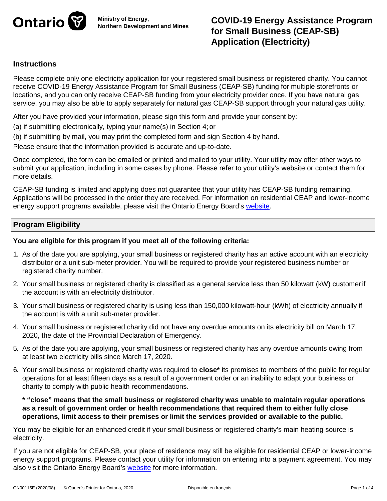

**Ministry of Energy, Northern Development and Mines**

## **Instructions**

Please complete only one electricity application for your registered small business or registered charity. You cannot receive COVID-19 Energy Assistance Program for Small Business (CEAP-SB) funding for multiple storefronts or locations, and you can only receive CEAP-SB funding from your electricity provider once. If you have natural gas service, you may also be able to apply separately for natural gas CEAP-SB support through your natural gas utility.

After you have provided your information, please sign this form and provide your consent by:

(a) if submitting electronically, typing your name(s) in Section 4; or

(b) if submitting by mail, you may print the completed form and sign Section 4 by hand.

Please ensure that the information provided is accurate and up-to-date.

Once completed, the form can be emailed or printed and mailed to your utility. Your utility may offer other ways to submit your application, including in some cases by phone. Please refer to your utility's website or contact them for more details.

CEAP-SB funding is limited and applying does not guarantee that your utility has CEAP-SB funding remaining. Applications will be processed in the order they are received. For information on residential CEAP and lower-income energy support programs available, please visit the Ontario Energy Board's website.

# **Program Eligibility**

#### **You are eligible for this program if you meet all of the following criteria:**

- 1. As of the date you are applying, your small business or registered charity has an active account with an electricity distributor or a unit sub-meter provider. You will be required to provide your registered business number or registered charity number.
- 2. Your small business or registered charity is classified as a general service less than 50 kilowatt (kW) customerif the account is with an electricity distributor.
- 3. Your small business or registered charity is using less than 150,000 kilowatt-hour (kWh) of electricity annually if the account is with a unit sub-meter provider.
- 4. Your small business or registered charity did not have any overdue amounts on its electricity bill on March 17, 2020, the date of the Provincial Declaration of Emergency.
- 5. As of the date you are applying, your small business or registered charity has any overdue amounts owing from at least two electricity bills since March 17, 2020.
- 6. Your small business or registered charity was required to **close\*** its premises to members of the public for regular operations for at least fifteen days as a result of a government order or an inability to adapt your business or charity to comply with public health recommendations.

**\* "close" means that the small business or registered charity was unable to maintain regular operations as a result of government order or health recommendations that required them to either fully close operations, limit access to their premises or limit the services provided or available to the public.**

You may be eligible for an enhanced credit if your small business or registered charity's main heating source is electricity.

If you are not eligible for CEAP-SB, your place of residence may still be eligible for residential CEAP or lower-income energy support programs. Please contact your utility for information on entering into a payment agreement. You may also visit the Ontario Energy Board's **website** for more information.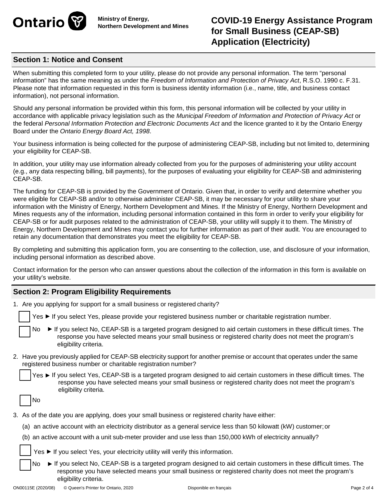

### **Section 1: Notice and Consent**

When submitting this completed form to your utility, please do not provide any personal information. The term "personal information" has the same meaning as under the *Freedom of Information and Protection of Privacy Act*, R.S.O. 1990 c. F.31. Please note that information requested in this form is business identity information (i.e., name, title, and business contact information), not personal information.

Should any personal information be provided within this form, this personal information will be collected by your utility in accordance with applicable privacy legislation such as the *Municipal Freedom of Information and Protection of Privacy Act* or the federal *Personal Information Protection and Electronic Documents Act* and the licence granted to it by the Ontario Energy Board under the *Ontario Energy Board Act, 1998*.

Your business information is being collected for the purpose of administering CEAP-SB, including but not limited to, determining your eligibility for CEAP-SB.

In addition, your utility may use information already collected from you for the purposes of administering your utility account (e.g., any data respecting billing, bill payments), for the purposes of evaluating your eligibility for CEAP-SB and administering CEAP-SB.

The funding for CEAP-SB is provided by the Government of Ontario. Given that, in order to verify and determine whether you were eligible for CEAP-SB and/or to otherwise administer CEAP-SB, it may be necessary for your utility to share your information with the Ministry of Energy, Northern Development and Mines. If the Ministry of Energy, Northern Development and Mines requests any of the information, including personal information contained in this form in order to verify your eligibility for CEAP-SB or for audit purposes related to the administration of CEAP-SB, your utility will supply it to them. The Ministry of Energy, Northern Development and Mines may contact you for further information as part of their audit. You are encouraged to retain any documentation that demonstrates you meet the eligibility for CEAP-SB.

By completing and submitting this application form, you are consenting to the collection, use, and disclosure of your information, including personal information as described above.

Contact information for the person who can answer questions about the collection of the information in this form is available on your utility's website.

### **Section 2: Program Eligibility Requirements**

- 1. Are you applying for support for a small business or registered charity?
	- Yes ► If you select Yes, please provide your registered business number or charitable registration number.
	- No ► If you select No, CEAP-SB is a targeted program designed to aid certain customers in these difficult times. The response you have selected means your small business or registered charity does not meet the program's eligibility criteria.
- 2. Have you previously applied for CEAP-SB electricity support for another premise or account that operates under the same registered business number or charitable registration number?
	- Yes ► If you select Yes, CEAP-SB is a targeted program designed to aid certain customers in these difficult times. The response you have selected means your small business or registered charity does not meet the program's eligibility criteria.

No

- 3. As of the date you are applying, does your small business or registered charity have either:
	- (a) an active account with an electricity distributor as a general service less than 50 kilowatt (kW) customer;or
	- (b) an active account with a unit sub-meter provider and use less than 150,000 kWh of electricity annually?
		- Yes ► If you select Yes, your electricity utility will verify this information.
		- No ► If you select No, CEAP-SB is a targeted program designed to aid certain customers in these difficult times. The response you have selected means your small business or registered charity does not meet the program's eligibility criteria.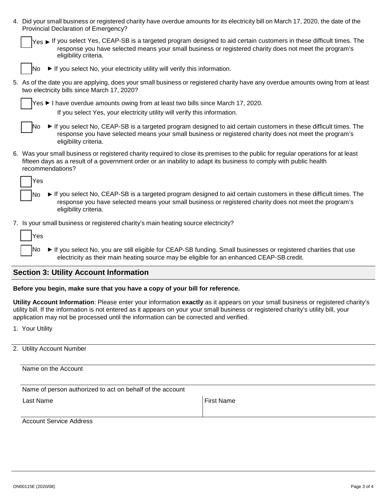| 4. Did your small business or registered charity have overdue amounts for its electricity bill on March 17, 2020, the date of the |
|-----------------------------------------------------------------------------------------------------------------------------------|
| Provincial Declaration of Emergency?                                                                                              |

| ŗ<br>۷ |
|--------|
|        |

es ► If you select Yes, CEAP-SB is a targeted program designed to aid certain customers in these difficult times. The response you have selected means your small business or registered charity does not meet the program's eligibility criteria.

|  | No ► If you select No, your electricity utility will verify this information. |  |
|--|-------------------------------------------------------------------------------|--|
|  |                                                                               |  |

5. As of the date you are applying, does your small business or registered charity have any overdue amounts owing from at least two electricity bills since March 17, 2020?

Yes ► I have overdue amounts owing from at least two bills since March 17, 2020.

If you select Yes, your electricity utility will verify this information.

- No ► If you select No, CEAP-SB is a targeted program designed to aid certain customers in these difficult times. The response you have selected means your small business or registered charity does not meet the program's eligibility criteria.
- 6. Was your small business or registered charity required to close its premises to the public for regular operations for at least fifteen days as a result of a government order or an inability to adapt its business to comply with public health recommendations?

Yes

- No ► If you select No, CEAP-SB is a targeted program designed to aid certain customers in these difficult times. The response you have selected means your small business or registered charity does not meet the program's eligibility criteria.
- 7. Is your small business or registered charity's main heating source electricity?

No ► If you select No, you are still eligible for CEAP-SB funding. Small businesses or registered charities that use electricity as their main heating source may be eligible for an enhanced CEAP-SB credit.

# **Section 3: Utility Account Information**

#### **Before you begin, make sure that you have a copy of your bill for reference.**

**Utility Account Information**: Please enter your information **exactly** as it appears on your small business or registered charity's utility bill. If the information is not entered as it appears on your your small business or registered charity's utility bill, your application may not be processed until the information can be corrected and verified.

1. Your Utility

| 2. Utility Account Number                                 |                   |
|-----------------------------------------------------------|-------------------|
|                                                           |                   |
| Name on the Account                                       |                   |
|                                                           |                   |
| Name of person authorized to act on behalf of the account |                   |
| Last Name                                                 | <b>First Name</b> |
|                                                           |                   |
| <b>Account Service Address</b>                            |                   |
|                                                           |                   |